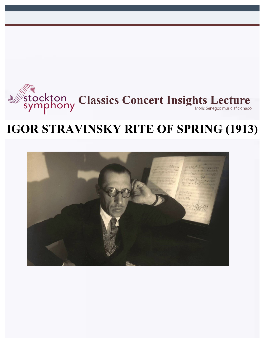

# **IGOR STRAVINSKY RITE OF SPRING (1913)**

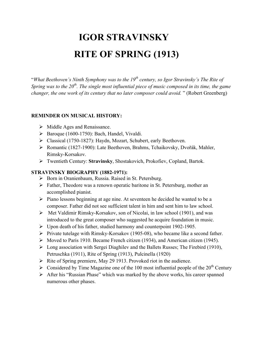# **IGOR STRAVINSKY RITE OF SPRING (1913)**

"*What Beethoven's Ninth Symphony was to the 19th century, so Igor Stravinsky's The Rite of Spring was to the 20th. The single most influential piece of music composed in its time, the game changer, the one work of its century that no later composer could avoid.* " (Robert Greenberg)

#### **REMINDER ON MUSICAL HISTORY:**

- $\triangleright$  Middle Ages and Renaissance.
- $\triangleright$  Baroque (1600-1750): Bach, Handel, Vivaldi.
- Ø Classical (1750-1827): Haydn, Mozart, Schubert, early Beethoven.
- Ø Romantic (1827-1900): Late Beethoven, Brahms, Tchaikovsky, Dvořák, Mahler, Rimsky-Korsakov.
- Ø Twentieth Century: **Stravinsky**, Shostakovich, Prokofiev, Copland, Bartok.

#### **STRAVINSKY BIOGRAPHY (1882-1971):**

- Ø Born in Oranienbaum, Russia. Raised in St. Petersburg.
- $\triangleright$  Father, Theodore was a renown operatic baritone in St. Petersburg, mother an accomplished pianist.
- Ø Piano lessons beginning at age nine. At seventeen he decided he wanted to be a composer. Father did not see sufficient talent in him and sent him to law school.
- Ø Met Valdimir Rimsky-Korsakov, son of Nicolai, in law school (1901), and was introduced to the great composer who suggested he acquire foundation in music.
- $\triangleright$  Upon death of his father, studied harmony and counterpoint 1902-1905.
- $\triangleright$  Private tutelage with Rimsky-Korsakov (1905-08), who became like a second father.
- Ø Moved to Paris 1910. Became French citizen (1934), and American citizen (1945).
- Ø Long association with Sergei Diaghilev and the Ballets Russes; The Firebird (1910), Petruschka (1911), Rite of Spring (1913), Pulcinella (1920)
- $\triangleright$  Rite of Spring premiere, May 29 1913. Provoked riot in the audience.
- $\triangleright$  Considered by Time Magazine one of the 100 most influential people of the 20<sup>th</sup> Century
- $\triangleright$  After his "Russian Phase" which was marked by the above works, his career spanned numerous other phases.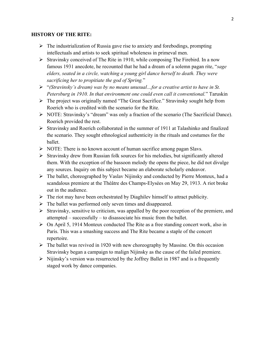#### **HISTORY OF THE RITE:**

- $\triangleright$  The industrialization of Russia gave rise to anxiety and forebodings, prompting intellectuals and artists to seek spiritual wholeness in primeval men.
- $\triangleright$  Stravinsky conceived of The Rite in 1910, while composing The Firebird. In a now famous 1931 anecdote, he recounted that he had a dream of a solemn pagan rite, "*sage elders, seated in a circle, watching a young girl dance herself to death. They were sacrificing her to propitiate the god of Spring.*"
- Ø "*(Stravinsky's dream) was by no means unusual…for a creative artist to have in St. Petersburg in 1910. In that environment one could even call it conventional.*" Taruskin
- Ø The project was originally named "The Great Sacrifice." Stravinsky sought help from Roerich who is credited with the scenario for the Rite.
- Ø NOTE: Stravinsky's "dream" was only a fraction of the scenario (The Sacrificial Dance). Roerich provided the rest.
- Ø Stravinsky and Roerich collaborated in the summer of 1911 at Talashinko and finalized the scenario. They sought ethnological authenticity in the rituals and costumes for the ballet.
- $\triangleright$  NOTE: There is no known account of human sacrifice among pagan Slavs.
- $\triangleright$  Stravinsky drew from Russian folk sources for his melodies, but significantly altered them. With the exception of the bassoon melody the opens the piece, he did not divulge any sources. Inquiry on this subject became an elaborate scholarly endeavor.
- $\triangleright$  The ballet, choreographed by Vaslav Nijinsky and conducted by Pierre Monteux, had a scandalous premiere at the Théâtre des Champs-Elysées on May 29, 1913. A riot broke out in the audience.
- $\triangleright$  The riot may have been orchestrated by Diaghilev himself to attract publicity.
- $\triangleright$  The ballet was performed only seven times and disappeared.
- $\triangleright$  Stravinsky, sensitive to criticism, was appalled by the poor reception of the premiere, and attempted – successfully – to disassociate his music from the ballet.
- $\triangleright$  On April 5, 1914 Monteux conducted The Rite as a free standing concert work, also in Paris. This was a smashing success and The Rite became a staple of the concert repertoire.
- $\triangleright$  The ballet was revived in 1920 with new choreography by Massine. On this occasion Stravinsky began a campaign to malign Nijinsky as the cause of the failed premiere.
- $\triangleright$  Nijinsky's version was resurrected by the Joffrey Ballet in 1987 and is a frequently staged work by dance companies.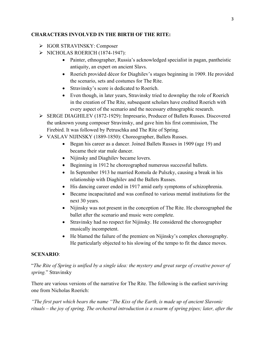## **CHARACTERS INVOLVED IN THE BIRTH OF THE RITE:**

- Ø IGOR STRAVINSKY: Composer
- $\triangleright$  NICHOLAS ROERICH (1874-1947):
	- Painter, ethnographer, Russia's acknowledged specialist in pagan, pantheistic antiquity, an expert on ancient Slavs.
	- Roerich provided décor for Diaghilev's stages beginning in 1909. He provided the scenario, sets and costumes for The Rite.
	- Stravinsky's score is dedicated to Roerich.
	- Even though, in later years, Stravinsky tried to downplay the role of Roerich in the creation of The Rite, subsequent scholars have credited Roerich with every aspect of the scenario and the necessary ethnographic research.
- Ø SERGE DIAGHILEV (1872-1929): Impresario, Producer of Ballets Russes. Discovered the unknown young composer Stravinsky, and gave him his first commission, The Firebird. It was followed by Petruschka and The Rite of Spring.
- Ø VASLAV NIJINSKY (1889-1850): Choreographer, Ballets Russes.
	- Began his career as a dancer. Joined Ballets Russes in 1909 (age 19) and became their star male dancer.
	- Nijinsky and Diaghilev became lovers.
	- Beginning in 1912 he choreographed numerous successful ballets.
	- In September 1913 he married Romola de Pulszky, causing a break in his relationship with Diaghilev and the Ballets Russes.
	- His dancing career ended in 1917 amid early symptoms of schizophrenia.
	- Became incapacitated and was confined to various mental institutions for the next 30 years.
	- Nijinsky was not present in the conception of The Rite. He choreographed the ballet after the scenario and music were complete.
	- Stravinsky had no respect for Nijinsky. He considered the choreographer musically incompetent.
	- He blamed the failure of the premiere on Nijinsky's complex choreography. He particularly objected to his slowing of the tempo to fit the dance moves.

#### **SCENARIO**:

"*The Rite of Spring is unified by a single idea: the mystery and great surge of creative power of spring.*" Stravinsky

There are various versions of the narrative for The Rite. The following is the earliest surviving one from Nicholas Roerich:

*"The first part which bears the name "The Kiss of the Earth, is made up of ancient Slavonic rituals – the joy of spring. The orchestral introduction is a swarm of spring pipes; later, after the*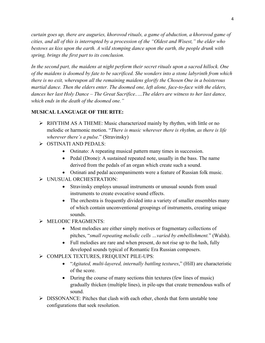*curtain goes up, there are auguries, khorovod rituals, a game of abduction, a khorovod game of cities, and all of this is interrupted by a procession of the "Oldest and Wisest," the elder who bestows as kiss upon the earth. A wild stomping dance upon the earth, the people drunk with spring, brings the first part to its conclusion.*

*In the second part, the maidens at night perform their secret rituals upon a sacred hillock. One of the maidens is doomed by fate to be sacrificed. She wonders into a stone labyrinth from which there is no exit, whereupon all the remaining maidens glorify the Chosen One in a boisterous martial dance. Then the elders enter. The doomed one, left alone, face-to-face with the elders, dances her last Holy Dance – The Great Sacrifice..…The elders are witness to her last dance, which ends in the death of the doomed one."*

## **MUSICAL LANGUAGE OF THE RITE:**

- $\triangleright$  RHYTHM AS A THEME: Music characterized mainly by rhythm, with little or no melodic or harmonic motion. "*There is music wherever there is rhythm, as there is life wherever there's a pulse.*" (Stravinsky)
- $\triangleright$  OSTINATI AND PEDALS:
	- Ostinato: A repeating musical pattern many times in succession.
	- Pedal (Drone): A sustained repeated note, usually in the bass. The name derived from the pedals of an organ which create such a sound.
	- Ostinati and pedal accompaniments were a feature of Russian folk music.
- Ø UNUSUAL ORCHESTRATION:
	- Stravinsky employs unusual instruments or unusual sounds from usual instruments to create evocative sound effects.
	- The orchestra is frequently divided into a variety of smaller ensembles many of which contain unconventional groupings of instruments, creating unique sounds.
- Ø MELODIC FRAGMENTS:
	- Most melodies are either simply motives or fragmentary collections of pitches, "*small repeating melodic cells …varied by embellishment.*" (Walsh).
	- Full melodies are rare and when present, do not rise up to the lush, fully developed sounds typical of Romantic Era Russian composers.
- Ø COMPLEX TEXTURES, FREQUENT PILE-UPS:
	- "*Agitated, multi-layered, internally battling textures*," (Hill) are characteristic of the score.
	- During the course of many sections thin textures (few lines of music) gradually thicken (multiple lines), in pile-ups that create tremendous walls of sound.
- $\triangleright$  DISSONANCE: Pitches that clash with each other, chords that form unstable tone configurations that seek resolution.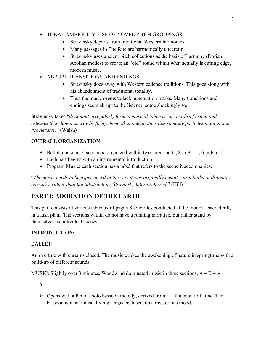#### Ø TONAL AMBIGUITY; USE OF NOVEL PITCH GROUPINGS:

- Stravinsky departs from traditional Western harmonies.
- Many passages in The Rite are harmonically uncertain.
- Stravinsky uses ancient pitch collections as the basis of harmony (Dorian, Aeolian modes) to create an "old" sound within what actually is cutting edge, modern music.
- Ø ABRUPT TRANSITIONS AND ENDINGS:
	- Stravinsky does away with Western cadence traditions. This goes along with his abandonment of traditional tonality.
	- Thus the music seems to lack punctuation marks. Many transitions and endings seem abrupt to the listener, some shockingly so.

Stravinsky takes "*dissonant, irregularly formed musical 'objects' of very brief extent and releases their latent energy by firing them off at one another like so many particles in an atomic accelerator.*" (Walsh)

# **OVERALL ORGANIZATION:**

- $\triangleright$  Ballet music in 14 section s, organized within two larger parts, 8 in Part I, 6 in Part II.
- $\triangleright$  Each part begins with an instrumental introduction.
- $\triangleright$  Program Music: each section has a label that refers to the scene it accompanies.

"*The music needs to be experienced in the way it was originally meant – as a ballet, a dramatic narrative rather than the 'abstraction' Stravinsky later preferred.*" (Hill)

# **PART I: ADORATION OF THE EARTH**

This part consists of various tableaux of pagan Slavic rites conducted at the foot of a sacred hill, in a lush plain. The sections within do not have a running narrative, but rather stand by themselves as individual scenes.

# **INTRODUCTION:**

# BALLET:

An overture with curtains closed. The music evokes the awakening of nature in springtime with a build-up of different sounds.

MUSIC: Slightly over 3 minutes. Woodwind dominated music in three sections,  $A - B - A$ 

**A**:

 $\triangleright$  Opens with a famous solo bassoon melody, derived from a Lithuanian folk tune. The bassoon is in an unusually high register. It sets up a mysterious mood.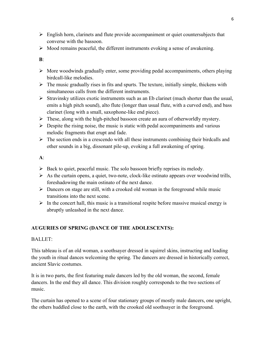- $\triangleright$  English horn, clarinets and flute provide accompaniment or quiet countersubjects that converse with the bassoon.
- $\triangleright$  Mood remains peaceful, the different instruments evoking a sense of awakening.

**B**:

- $\triangleright$  More woodwinds gradually enter, some providing pedal accompaniments, others playing birdcall-like melodies.
- $\triangleright$  The music gradually rises in fits and spurts. The texture, initially simple, thickens with simultaneous calls from the different instruments.
- $\triangleright$  Stravinsky utilizes exotic instruments such as an Eb clarinet (much shorter than the usual, emits a high pitch sound), alto flute (longer than usual flute, with a curved end), and bass clarinet (long with a small, saxophone-like end piece).
- $\triangleright$  These, along with the high-pitched bassoon create an aura of otherworldly mystery.
- $\triangleright$  Despite the rising noise, the music is static with pedal accompaniments and various melodic fragments that erupt and fade.
- $\triangleright$  The section ends in a crescendo with all these instruments combining their birdcalls and other sounds in a big, dissonant pile-up, evoking a full awakening of spring.

**A**:

- $\triangleright$  Back to quiet, peaceful music. The solo bassoon briefly reprises its melody.
- $\triangleright$  As the curtain opens, a quiet, two-note, clock-like ostinato appears over woodwind trills, foreshadowing the main ostinato of the next dance.
- $\triangleright$  Dancers on stage are still, with a crooked old woman in the foreground while music transitions into the next scene.
- $\triangleright$  In the concert hall, this music is a transitional respite before massive musical energy is abruptly unleashed in the next dance.

# **AUGURIES OF SPRING (DANCE OF THE ADOLESCENTS):**

# BALLET:

This tableau is of an old woman, a soothsayer dressed in squirrel skins, instructing and leading the youth in ritual dances welcoming the spring. The dancers are dressed in historically correct, ancient Slavic costumes.

It is in two parts, the first featuring male dancers led by the old woman, the second, female dancers. In the end they all dance. This division roughly corresponds to the two sections of music.

The curtain has opened to a scene of four stationary groups of mostly male dancers, one upright, the others huddled close to the earth, with the crooked old soothsayer in the foreground.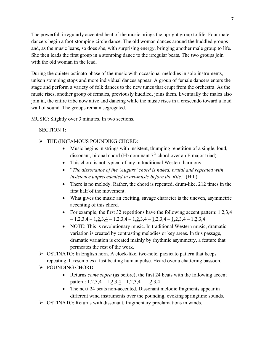The powerful, irregularly accented beat of the music brings the upright group to life. Four male dancers begin a foot-stomping circle dance. The old woman dances around the huddled groups and, as the music leaps, so does she, with surprising energy, bringing another male group to life. She then leads the first group in a stomping dance to the irregular beats. The two groups join with the old woman in the lead.

During the quieter ostinato phase of the music with occasional melodies in solo instruments, unison stomping stops and more individual dances appear. A group of female dancers enters the stage and perform a variety of folk dances to the new tunes that erupt from the orchestra. As the music rises, another group of females, previously huddled, joins them. Eventually the males also join in, the entire tribe now alive and dancing while the music rises in a crescendo toward a loud wall of sound. The groups remain segregated.

MUSIC: Slightly over 3 minutes. In two sections.

#### SECTION 1:

- Ø THE (IN)FAMOUS POUNDING CHORD:
	- Music begins in strings with insistent, thumping repetition of a single, loud, dissonant, bitonal chord (Eb dominant  $7<sup>th</sup>$  chord over an E major triad).
	- This chord is not typical of any in traditional Western harmony.
	- "*The dissonance of the 'Augurs' chord is naked, brutal and repeated with insistence unprecedented in art-music before the Rite.*" (Hill)
	- There is no melody. Rather, the chord is repeated, drum-like, 212 times in the first half of the movement.
	- What gives the music an exciting, savage character is the uneven, asymmetric accenting of this chord.
	- For example, the first 32 repetitions have the following accent pattern: 1,2,3,4  $-1,2,3,4-1,2,3,4-1,2,3,4-1,2,3,4-1,2,3,4-1,2,3,4-1,2,3,4$
	- NOTE: This is revolutionary music. In traditional Western music, dramatic variation is created by contrasting melodies or key areas. In this passage, dramatic variation is created mainly by rhythmic asymmetry, a feature that permeates the rest of the work.
- $\triangleright$  OSTINATO: In English horn. A clock-like, two-note, pizzicato pattern that keeps repeating. It resembles a fast beating human pulse. Heard over a chattering bassoon.
- $\triangleright$  POUNDING CHORD:
	- Returns *come sopra* (as before); the first 24 beats with the following accent pattern: 1,2,3,4 – 1,2,3,4 – 1,2,3,4 – 1,2,3,4
	- The next 24 beats non-accented. Dissonant melodic fragments appear in different wind instruments over the pounding, evoking springtime sounds.
- Ø OSTINATO: Returns with dissonant, fragmentary proclamations in winds.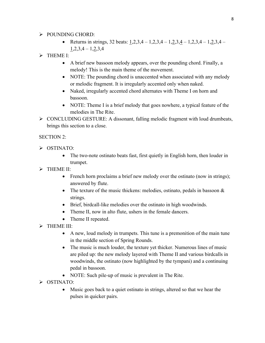## $\triangleright$  POUNDING CHORD:

• Returns in strings, 32 beats:  $1,2,3,4 - 1,2,3,4 - 1,2,3,4 - 1,2,3,4 - 1,2,3,4 1,2,3,4-1,2,3,4$ 

# $\triangleright$  THEME I:

- A brief new bassoon melody appears, over the pounding chord. Finally, a melody! This is the main theme of the movement.
- NOTE: The pounding chord is unaccented when associated with any melody or melodic fragment. It is irregularly accented only when naked.
- Naked, irregularly accented chord alternates with Theme I on horn and bassoon.
- NOTE: Theme I is a brief melody that goes nowhere, a typical feature of the melodies in The Rite.
- Ø CONCLUDING GESTURE: A dissonant, falling melodic fragment with loud drumbeats, brings this section to a close.

# SECTION 2:

- Ø OSTINATO:
	- The two-note ostinato beats fast, first quietly in English horn, then louder in trumpet.
- $\triangleright$  THEME II:
	- French horn proclaims a brief new melody over the ostinato (now in strings); answered by flute.
	- The texture of the music thickens: melodies, ostinato, pedals in bassoon  $\&$ strings.
	- Brief, birdcall-like melodies over the ostinato in high woodwinds.
	- Theme II, now in alto flute, ushers in the female dancers.
	- Theme II repeated.
- $\triangleright$  THEME III:
	- A new, loud melody in trumpets. This tune is a premonition of the main tune in the middle section of Spring Rounds.
	- The music is much louder, the texture yet thicker. Numerous lines of music are piled up: the new melody layered with Theme II and various birdcalls in woodwinds, the ostinato (now highlighted by the tympani) and a continuing pedal in bassoon.
	- NOTE: Such pile-up of music is prevalent in The Rite.
- $\triangleright$  OSTINATO:
	- Music goes back to a quiet ostinato in strings, altered so that we hear the pulses in quicker pairs.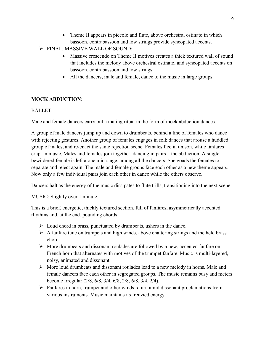- Theme II appears in piccolo and flute, above orchestral ostinato in which bassoon, contrabassoon and low strings provide syncopated accents.
- Ø FINAL, MASSIVE WALL OF SOUND:
	- Massive crescendo on Theme II motives creates a thick textured wall of sound that includes the melody above orchestral ostinato, and syncopated accents on bassoon, contrabassoon and low strings.
	- All the dancers, male and female, dance to the music in large groups.

#### **MOCK ABDUCTION:**

#### BALLET:

Male and female dancers carry out a mating ritual in the form of mock abduction dances.

A group of male dancers jump up and down to drumbeats, behind a line of females who dance with rejecting gestures. Another group of females engages in folk dances that arouse a huddled group of males, and re-enact the same rejection scene. Females flee in unison, while fanfares erupt in music. Males and females join together, dancing in pairs – the abduction. A single bewildered female is left alone mid-stage, among all the dancers. She goads the females to separate and reject again. The male and female groups face each other as a new theme appears. Now only a few individual pairs join each other in dance while the others observe.

Dancers halt as the energy of the music dissipates to flute trills, transitioning into the next scene.

MUSIC: Slightly over 1 minute.

This is a brief, energetic, thickly textured section, full of fanfares, asymmetrically accented rhythms and, at the end, pounding chords.

- $\triangleright$  Loud chord in brass, punctuated by drumbeats, ushers in the dance.
- $\triangleright$  A fanfare tune on trumpets and high winds, above chattering strings and the held brass chord.
- $\triangleright$  More drumbeats and dissonant roulades are followed by a new, accented fanfare on French horn that alternates with motives of the trumpet fanfare. Music is multi-layered, noisy, animated and dissonant.
- $\triangleright$  More loud drumbeats and dissonant roulades lead to a new melody in horns. Male and female dancers face each other in segregated groups. The music remains busy and meters become irregular (2/8, 6/8, 3/4, 6/8, 2/8, 6/8, 3/4, 2/4).
- $\triangleright$  Fanfares in horn, trumpet and other winds return amid dissonant proclamations from various instruments. Music maintains its frenzied energy.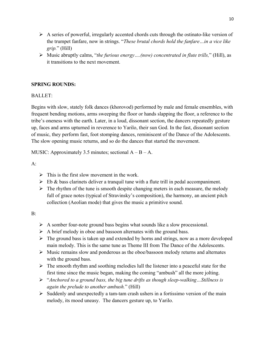- $\triangleright$  A series of powerful, irregularly accented chords cuts through the ostinato-like version of the trumpet fanfare, now in strings. "*These brutal chords hold the fanfare…in a vice like grip.*" (Hill)
- Ø Music abruptly calms, "*the furious energy….(now) concentrated in flute trills,*" (Hill), as it transitions to the next movement.

#### **SPRING ROUNDS:**

#### BALLET:

Begins with slow, stately folk dances (khorovod) performed by male and female ensembles, with frequent bending motions, arms sweeping the floor or hands slapping the floor, a reference to the tribe's oneness with the earth. Later, in a loud, dissonant section, the dancers repeatedly gesture up, faces and arms upturned in reverence to Yarilo, their sun God. In the fast, dissonant section of music, they perform fast, foot stomping dances, reminiscent of the Dance of the Adolescents. The slow opening music returns, and so do the dances that started the movement.

MUSIC: Approximately 3.5 minutes; sectional  $A - B - A$ .

 $A^{\cdot}$ 

- $\triangleright$  This is the first slow movement in the work.
- $\triangleright$  Eb & bass clarinets deliver a tranquil tune with a flute trill in pedal accompaniment.
- $\triangleright$  The rhythm of the tune is smooth despite changing meters in each measure, the melody full of grace notes (typical of Stravinsky's composition), the harmony, an ancient pitch collection (Aeolian mode) that gives the music a primitive sound.

B:

- $\triangleright$  A somber four-note ground bass begins what sounds like a slow processional.
- $\triangleright$  A brief melody in oboe and bassoon alternates with the ground bass.
- $\triangleright$  The ground bass is taken up and extended by horns and strings, now as a more developed main melody. This is the same tune as Theme III from The Dance of the Adolescents.
- $\triangleright$  Music remains slow and ponderous as the oboe/bassoon melody returns and alternates with the ground bass.
- $\triangleright$  The smooth rhythm and soothing melodies lull the listener into a peaceful state for the first time since the music began, making the coming "ambush" all the more jolting.
- Ø "*Anchored to a ground bass, the big tune drifts as though sleep-walking…Stillness is again the prelude to another ambush.*" (Hill)
- $\triangleright$  Suddenly and unexpectedly a tam-tam crash ushers in a fortissimo version of the main melody, its mood uneasy. The dancers gesture up, to Yarilo.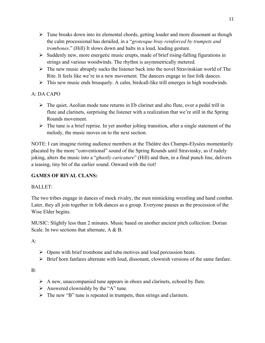- $\triangleright$  Tune breaks down into its elemental chords, getting louder and more dissonant as though the calm processional has derailed, in a "*grotesque bray reinforced by trumpets and trombones*." (Hill) It slows down and halts in a loud, leading gesture.
- $\triangleright$  Suddenly new, more energetic music erupts, made of brief rising-falling figurations in strings and various woodwinds. The rhythm is asymmetrically metered.
- $\triangleright$  The new music abruptly sucks the listener back into the novel Stravinskian world of The Rite. It feels like we're in a new movement. The dancers engage in fast folk dances.
- $\triangleright$  This new music ends brusquely. A calm, birdcall-like trill emerges in high woodwinds.

# A: DA CAPO

- $\triangleright$  The quiet, Aeolian mode tune returns in Eb clarinet and alto flute, over a pedal trill in flute and clarinets, surprising the listener with a realization that we're still in the Spring Rounds movement.
- $\triangleright$  The tune is a brief reprise. In yet another jolting transition, after a single statement of the melody, the music moves on to the next section.

NOTE: I can imagine rioting audience members at the Théâtre des Champs-Elysées momentarily placated by the more "conventional" sound of the Spring Rounds until Stravinsky, as if rudely joking, alters the music into a "*ghastly caricature*" (Hill) and then, in a final punch line, delivers a teasing, tiny bit of the earlier sound. Onward with the riot!

# **GAMES OF RIVAL CLANS:**

# BALLET:

The two tribes engage in dances of mock rivalry, the men mimicking wrestling and hand combat. Later, they all join together in folk dances as a group. Everyone pauses as the procession of the Wise Elder begins.

MUSIC: Slightly less than 2 minutes. Music based on another ancient pitch collection: Dorian Scale. In two sections that alternate, A & B.

 $A$ :

- $\triangleright$  Opens with brief trombone and tuba motives and loud percussion beats.
- $\triangleright$  Brief horn fanfares alternate with loud, dissonant, clownish versions of the same fanfare.

 $B^{\dagger}$ 

- $\triangleright$  A new, unaccompanied tune appears in oboes and clarinets, echoed by flute.
- $\triangleright$  Answered clownishly by the "A" tune.
- $\triangleright$  The new "B" tune is repeated in trumpets, then strings and clarinets.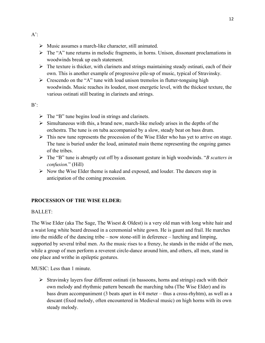- $\triangleright$  Music assumes a march-like character, still animated.
- $\triangleright$  The "A" tune returns in melodic fragments, in horns. Unison, dissonant proclamations in woodwinds break up each statement.
- $\triangleright$  The texture is thicker, with clarinets and strings maintaining steady ostinati, each of their own. This is another example of progressive pile-up of music, typical of Stravinsky.
- $\triangleright$  Crescendo on the "A" tune with loud unison tremolos in flutter-tonguing high woodwinds. Music reaches its loudest, most energetic level, with the thickest texture, the various ostinati still beating in clarinets and strings.

 $B'$ :

- $\triangleright$  The "B" tune begins loud in strings and clarinets.
- $\triangleright$  Simultaneous with this, a brand new, march-like melody arises in the depths of the orchestra. The tune is on tuba accompanied by a slow, steady beat on bass drum.
- $\triangleright$  This new tune represents the procession of the Wise Elder who has yet to arrive on stage. The tune is buried under the loud, animated main theme representing the ongoing games of the tribes.
- Ø The "B" tune is abruptly cut off by a dissonant gesture in high woodwinds. "*B scatters in confusion.*" (Hill)
- $\triangleright$  Now the Wise Elder theme is naked and exposed, and louder. The dancers stop in anticipation of the coming procession.

#### **PROCESSION OF THE WISE ELDER:**

#### BALLET:

The Wise Elder (aka The Sage, The Wisest  $\&$  Oldest) is a very old man with long white hair and a waist long white beard dressed in a ceremonial white gown. He is gaunt and frail. He marches into the middle of the dancing tribe – now stone-still in deference – lurching and limping, supported by several tribal men. As the music rises to a frenzy, he stands in the midst of the men, while a group of men perform a reverent circle-dance around him, and others, all men, stand in one place and writhe in epileptic gestures.

MUSIC: Less than 1 minute.

 $\triangleright$  Stravinsky layers four different ostinati (in bassoons, horns and strings) each with their own melody and rhythmic pattern beneath the marching tuba (The Wise Elder) and its bass drum accompaniment (3 beats apart in 4/4 meter – thus a cross-rhyhtm), as well as a descant (fixed melody, often encountered in Medieval music) on high horns with its own steady melody.

 $A$ :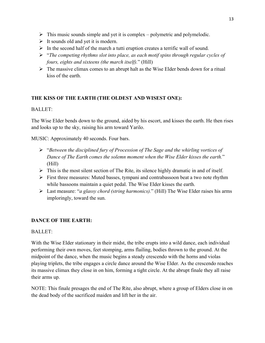- $\triangleright$  This music sounds simple and yet it is complex polymetric and polymelodic.
- $\triangleright$  It sounds old and yet it is modern.
- $\triangleright$  In the second half of the march a tutti eruption creates a terrific wall of sound.
- Ø "*The competing rhythms slot into place, as each motif spins through regular cycles of fours, eights and sixteens (the march itself).*" (Hill)
- $\triangleright$  The massive climax comes to an abrupt halt as the Wise Elder bends down for a ritual kiss of the earth.

# **THE KISS OF THE EARTH (THE OLDEST AND WISEST ONE):**

## BALLET:

The Wise Elder bends down to the ground, aided by his escort, and kisses the earth. He then rises and looks up to the sky, raising his arm toward Yarilo.

MUSIC: Approximately 40 seconds. Four bars.

- Ø "*Between the disciplined fury of Procession of The Sage and the whirling vortices of Dance of The Earth comes the solemn moment when the Wise Elder kisses the earth.*" (Hill)
- $\triangleright$  This is the most silent section of The Rite, its silence highly dramatic in and of itself.
- $\triangleright$  First three measures: Muted basses, tympani and contrabassoon beat a two note rhythm while bassoons maintain a quiet pedal. The Wise Elder kisses the earth.
- Ø Last measure: "*a glassy chord (string harmonics).*" (Hill) The Wise Elder raises his arms imploringly, toward the sun.

# **DANCE OF THE EARTH:**

# BALLET:

With the Wise Elder stationary in their midst, the tribe erupts into a wild dance, each individual performing their own moves, feet stomping, arms flailing, bodies thrown to the ground. At the midpoint of the dance, when the music begins a steady crescendo with the horns and violas playing triplets, the tribe engages a circle dance around the Wise Elder. As the crescendo reaches its massive climax they close in on him, forming a tight circle. At the abrupt finale they all raise their arms up.

NOTE: This finale presages the end of The Rite, also abrupt, where a group of Elders close in on the dead body of the sacrificed maiden and lift her in the air.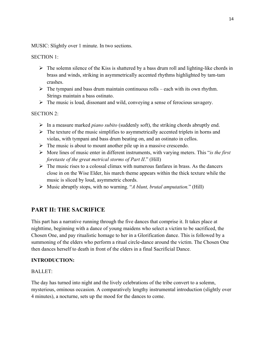MUSIC: Slightly over 1 minute. In two sections.

#### SECTION 1:

- $\triangleright$  The solemn silence of the Kiss is shattered by a bass drum roll and lighting-like chords in brass and winds, striking in asymmetrically accented rhythms highlighted by tam-tam crashes.
- $\triangleright$  The tympani and bass drum maintain continuous rolls each with its own rhythm. Strings maintain a bass ostinato.
- $\triangleright$  The music is loud, dissonant and wild, conveying a sense of ferocious savagery.

#### SECTION 2:

- Ø In a measure marked *piano subito* (suddenly soft), the striking chords abruptly end.
- $\triangleright$  The texture of the music simplifies to asymmetrically accented triplets in horns and violas, with tympani and bass drum beating on, and an ostinato in cellos.
- $\triangleright$  The music is about to mount another pile up in a massive crescendo.
- Ø More lines of music enter in different instruments, with varying meters. This "*is the first foretaste of the great metrical storms of Part II*." (Hill)
- $\triangleright$  The music rises to a colossal climax with numerous fanfares in brass. As the dancers close in on the Wise Elder, his march theme appears within the thick texture while the music is sliced by loud, asymmetric chords.
- Ø Music abruptly stops, with no warning. "*A blunt, brutal amputation.*" (Hill)

# **PART II: THE SACRIFICE**

This part has a narrative running through the five dances that comprise it. It takes place at nighttime, beginning with a dance of young maidens who select a victim to be sacrificed, the Chosen One, and pay ritualistic homage to her in a Glorification dance. This is followed by a summoning of the elders who perform a ritual circle-dance around the victim. The Chosen One then dances herself to death in front of the elders in a final Sacrificial Dance.

#### **INTRODUCTION:**

#### BALLET:

The day has turned into night and the lively celebrations of the tribe convert to a solemn, mysterious, ominous occasion. A comparatively lengthy instrumental introduction (slightly over 4 minutes), a nocturne, sets up the mood for the dances to come.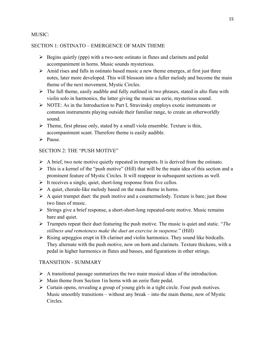#### MUSIC:

#### SECTION 1: OSTINATO – EMERGENCE OF MAIN THEME

- $\triangleright$  Begins quietly (ppp) with a two-note ostinato in flutes and clarinets and pedal accompaniment in horns. Music sounds mysterious.
- $\triangleright$  Amid rises and falls in ostinato based music a new theme emerges, at first just three notes, later more developed. This will blossom into a fuller melody and become the main theme of the next movement, Mystic Circles.
- $\triangleright$  The full theme, easily audible and fully outlined in two phrases, stated in alto flute with violin solo in harmonics, the latter giving the music an eerie, mysterious sound.
- $\triangleright$  NOTE: As in the Introduction to Part I, Stravinsky employs exotic instruments or common instruments playing outside their familiar range, to create an otherworldly sound.
- $\triangleright$  Theme, first phrase only, stated by a small viola ensemble. Texture is thin, accompaniment scant. Therefore theme is easily audible.
- $\triangleright$  Pause.

#### SECTION 2: THE "PUSH MOTIVE"

- $\triangleright$  A brief, two note motive quietly repeated in trumpets. It is derived from the ostinato.
- $\triangleright$  This is a kernel of the "push motive" (Hill) that will be the main idea of this section and a prominent feature of Mystic Circles. It will reappear in subsequent sections as well.
- $\triangleright$  It receives a single, quiet, short-long response from five cellos.
- $\triangleright$  A quiet, chorale-like melody based on the main theme in horns.
- $\triangleright$  A quiet trumpet duet: the push motive and a countermelody. Texture is bare; just those two lines of music.
- $\triangleright$  Strings give a brief response, a short-short-long repeated-note motive. Music remains bare and quiet.
- Ø Trumpets repeat their duet featuring the push motive. The music is quiet and static. "*The stillness and remoteness make the duet an exercise in suspense.*" (Hill)
- $\triangleright$  Rising arpeggios erupt in Eb clarinet and violin harmonics. They sound like birdcalls. They alternate with the push motive, now on horn and clarinets. Texture thickens, with a pedal in higher harmonics in flutes and basses, and figurations in other strings.

#### TRANSITION - SUMMARY

- $\triangleright$  A transitional passage summarizes the two main musical ideas of the introduction.
- $\triangleright$  Main theme from Section 1 in horns with an eerie flute pedal.
- $\triangleright$  Curtain opens, revealing a group of young girls in a tight circle. Four push motives. Music smoothly transitions – without any break – into the main theme, now of Mystic **Circles**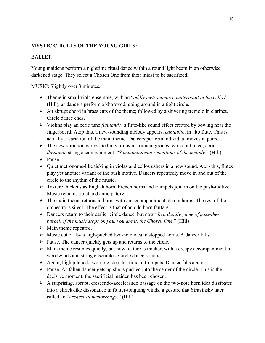#### **MYSTIC CIRCLES OF THE YOUNG GIRLS:**

#### BALLET:

Young maidens perform a nighttime ritual dance within a round light beam in an otherwise darkened stage. They select a Chosen One from their midst to be sacrificed.

MUSIC: Slightly over 3 minutes.

- Ø Theme in small viola ensemble, with an "*oddly metronomic counterpoint in the cellos*" (Hill), as dancers perform a khorovod, going around in a tight circle.
- $\triangleright$  An abrupt chord in brass cuts of the theme; followed by a shivering tremolo in clarinet. Circle dance ends.
- Ø Violins play an eerie tune *flautando*, a flute-like sound effect created by bowing near the fingerboard. Atop this, a new-sounding melody appears, *cantabile*, in alto flute. This is actually a variation of the main theme. Dancers perform individual moves in pairs.
- $\triangleright$  The new variation is repeated in various instrument groups, with continued, eerie *flautando* string accompaniment. "*Somnambulistic repetitions of the melody*." (Hill)
- $\triangleright$  Pause.
- $\triangleright$  Quiet metronome-like ticking in violas and cellos ushers in a new sound. Atop this, flutes play yet another variant of the push motive. Dancers repeatedly move in and out of the circle to the rhythm of the music.
- $\triangleright$  Texture thickens as English horn, French horns and trumpets join in on the push-motive. Music remains quiet and anticipatory.
- $\triangleright$  The main theme returns in horns with an accompaniment also in horns. The rest of the orchestra is silent. The effect is that of an odd horn fanfare.
- Ø Dancers return to their earlier circle dance, but now "*In a deadly game of pass-theparcel; if the music stops on you, you are it, the Chosen One.*" (Hill)
- $\triangleright$  Main theme repeated.
- $\triangleright$  Music cut off by a high-pitched two-note idea in stopped horns. A dancer falls.
- $\triangleright$  Pause. The dancer quickly gets up and returns to the circle.
- $\triangleright$  Main theme resumes quietly, but now texture is thicker, with a creepy accompaniment in woodwinds and string ensembles. Circle dance resumes.
- $\triangleright$  Again, high pitched, two-note idea this time in trumpets. Dancer falls again.
- $\triangleright$  Pause. As fallen dancer gets up she is pushed into the center of the circle. This is the decisive moment: the sacrificial maiden has been chosen.
- $\triangleright$  A surprising, abrupt, crescendo-accelerando passage on the two-note horn idea dissipates into a shriek-like dissonance in flutter-tonguing winds, a gesture that Stravinsky later called an "*orchestral hemorrhage*." (Hill)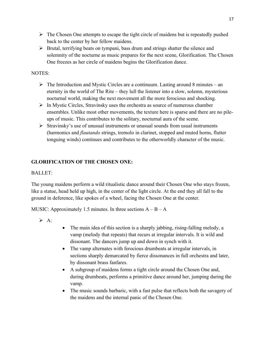- $\triangleright$  The Chosen One attempts to escape the tight circle of maidens but is repeatedly pushed back to the center by her fellow maidens.
- $\triangleright$  Brutal, terrifying beats on tympani, bass drum and strings shatter the silence and solemnity of the nocturne as music prepares for the next scene, Glorification. The Chosen One freezes as her circle of maidens begins the Glorification dance.

## NOTES:

- $\triangleright$  The Introduction and Mystic Circles are a continuum. Lasting around 8 minutes an eternity in the world of The Rite – they lull the listener into a slow, solemn, mysterious nocturnal world, making the next movement all the more ferocious and shocking.
- $\triangleright$  In Mystic Circles, Stravinsky uses the orchestra as source of numerous chamber ensembles. Unlike most other movements, the texture here is sparse and there are no pileups of music. This contributes to the solitary, nocturnal aura of the scene.
- $\triangleright$  Stravinsky's use of unusual instruments or unusual sounds from usual instruments (harmonics and *flautando* strings, tremolo in clarinet, stopped and muted horns, flutter tonguing winds) continues and contributes to the otherworldly character of the music.

# **GLORIFICATION OF THE CHOSEN ONE:**

## BALLET:

The young maidens perform a wild ritualistic dance around their Chosen One who stays frozen, like a statue, head held up high, in the center of the light circle. At the end they all fall to the ground in deference, like spokes of a wheel, facing the Chosen One at the center.

MUSIC: Approximately 1.5 minutes. In three sections  $A - B - A$ 

- $\triangleright$  A:
- The main idea of this section is a sharply jabbing, rising-falling melody, a vamp (melody that repeats) that recurs at irregular intervals. It is wild and dissonant. The dancers jump up and down in synch with it.
- The vamp alternates with ferocious drumbeats at irregular intervals, in sections sharply demarcated by fierce dissonances in full orchestra and later, by dissonant brass fanfares.
- A subgroup of maidens forms a tight circle around the Chosen One and, during drumbeats, performs a primitive dance around her, jumping during the vamp.
- The music sounds barbaric, with a fast pulse that reflects both the savagery of the maidens and the internal panic of the Chosen One.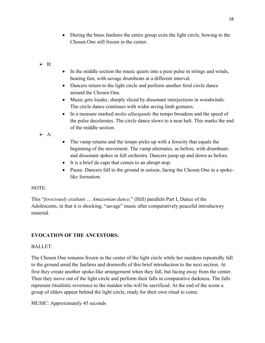• During the brass fanfares the entire group exits the light circle, bowing to the Chosen One still frozen in the center.

#### $\triangleright$  B.

- In the middle section the music quiets into a pure pulse in strings and winds, beating fast, with savage drumbeats at a different interval.
- Dancers return to the light circle and perform another feral circle dance around the Chosen One.
- Music gets louder, sharply sliced by dissonant interjections in woodwinds. The circle dance continues with wider arcing limb gestures.
- In a measure marked *molto allargando* the tempo broadens and the speed of the pulse decelerates. The circle dance slows to a near halt. This marks the end of the middle section.

 $\triangleright$  A:

- The vamp returns and the tempo picks up with a ferocity that equals the beginning of the movement. The vamp alternates, as before, with drumbeats and dissonant spikes in full orchestra. Dancers jump up and down as before.
- It is a brief da capo that comes to an abrupt stop.
- Pause. Dancers fall to the ground in unison, facing the Chosen One in a spokelike formation.

#### NOTE:

This "*ferociously exultant … Amazonian dance,*" (Hill) parallels Part I, Dance of the Adolescents, in that it is shocking, "savage" music after comparatively peaceful introductory material.

#### **EVOCATION OF THE ANCESTORS:**

#### BALLET:

The Chosen One remains frozen in the center of the light circle while her maidens repeatedly fall to the ground amid the fanfares and drumrolls of this brief introduction to the next section. At first they create another spoke-like arrangement when they fall, but facing away from the center. Then they move out of the light circle and perform their falls in comparative darkness. The falls represent ritualistic reverence to the maiden who will be sacrificed. At the end of the scene a group of elders appear behind the light circle, ready for their own ritual to come.

#### MUSIC: Approximately 45 seconds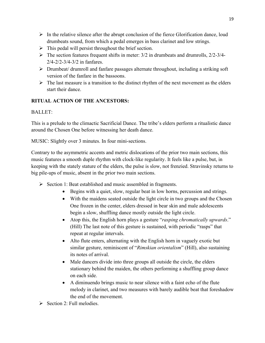- $\triangleright$  In the relative silence after the abrupt conclusion of the fierce Glorification dance, loud drumbeats sound, from which a pedal emerges in bass clarinet and low strings.
- $\triangleright$  This pedal will persist throughout the brief section.
- $\triangleright$  The section features frequent shifts in meter: 3/2 in drumbeats and drumrolls, 2/2-3/4-2/4-2/2-3/4-3/2 in fanfares.
- Ø Drumbeat/ drumroll and fanfare passages alternate throughout, including a striking soft version of the fanfare in the bassoons.
- $\triangleright$  The last measure is a transition to the distinct rhythm of the next movement as the elders start their dance.

# **RITUAL ACTION OF THE ANCESTORS:**

# BALLET:

This is a prelude to the climactic Sacrificial Dance. The tribe's elders perform a ritualistic dance around the Chosen One before witnessing her death dance.

MUSIC: Slightly over 3 minutes. In four mini-sections.

Contrary to the asymmetric accents and metric dislocations of the prior two main sections, this music features a smooth duple rhythm with clock-like regularity. It feels like a pulse, but, in keeping with the stately stature of the elders, the pulse is slow, not frenzied. Stravinsky returns to big pile-ups of music, absent in the prior two main sections.

- $\triangleright$  Section 1: Beat established and music assembled in fragments.
	- Begins with a quiet, slow, regular beat in low horns, percussion and strings.
	- With the maidens seated outside the light circle in two groups and the Chosen One frozen in the center, elders dressed in bear skin and male adolescents begin a slow, shuffling dance mostly outside the light circle.
	- Atop this, the English horn plays a gesture "*rasping chromatically upwards*." (Hill) The last note of this gesture is sustained, with periodic "rasps" that repeat at regular intervals.
	- Alto flute enters, alternating with the English horn in vaguely exotic but similar gesture, reminiscent of "*Rimskian orientalism*" (Hill), also sustaining its notes of arrival.
	- Male dancers divide into three groups all outside the circle, the elders stationary behind the maiden, the others performing a shuffling group dance on each side.
	- A diminuendo brings music to near silence with a faint echo of the flute melody in clarinet, and two measures with barely audible beat that foreshadow the end of the movement.
- $\triangleright$  Section 2: Full melodies.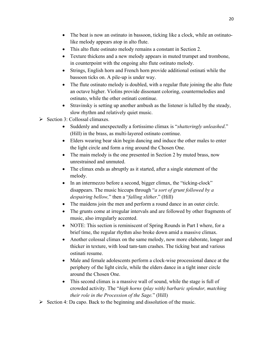- The beat is now an ostinato in bassoon, ticking like a clock, while an ostinatolike melody appears atop in alto flute.
- This alto flute ostinato melody remains a constant in Section 2.
- Texture thickens and a new melody appears in muted trumpet and trombone, in counterpoint with the ongoing alto flute ostinato melody.
- Strings, English horn and French horn provide additional ostinati while the bassoon ticks on. A pile-up is under way.
- The flute ostinato melody is doubled, with a regular flute joining the alto flute an octave higher. Violins provide dissonant coloring, countermelodies and ostinato, while the other ostinati continue.
- Stravinsky is setting up another ambush as the listener is lulled by the steady, slow rhythm and relatively quiet music.
- $\triangleright$  Section 3: Collossal climaxes.
	- Suddenly and unexpectedly a fortissimo climax is "*shatteringly unleashed*." (Hill) in the brass, as multi-layered ostinato continue.
	- Elders wearing bear skin begin dancing and induce the other males to enter the light circle and form a ring around the Chosen One.
	- The main melody is the one presented in Section 2 by muted brass, now unrestrained and unmuted.
	- The climax ends as abruptly as it started, after a single statement of the melody.
	- In an intermezzo before a second, bigger climax, the "ticking-clock" disappears. The music hiccups through "*a sort of grunt followed by a despairing bellow,*" then a "*falling slither*." (Hill)
	- The maidens join the men and perform a round dance in an outer circle.
	- The grunts come at irregular intervals and are followed by other fragments of music, also irregularly accented.
	- NOTE: This section is reminiscent of Spring Rounds in Part I where, for a brief time, the regular rhythm also broke down amid a massive climax.
	- Another colossal climax on the same melody, now more elaborate, longer and thicker in texture, with loud tam-tam crashes. The ticking beat and various ostinati resume.
	- Male and female adolescents perform a clock-wise processional dance at the periphery of the light circle, while the elders dance in a tight inner circle around the Chosen One.
	- This second climax is a massive wall of sound, while the stage is full of crowded activity. The "*high horns (play with) barbaric splendor, matching their role in the Procession of the Sage.*" (Hill)
- $\triangleright$  Section 4: Da capo. Back to the beginning and dissolution of the music.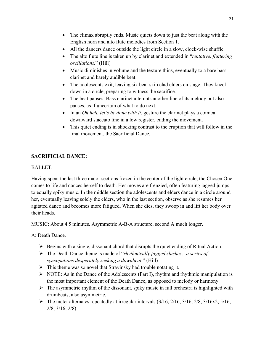- The climax abruptly ends. Music quiets down to just the beat along with the English horn and alto flute melodies from Section 1.
- All the dancers dance outside the light circle in a slow, clock-wise shuffle.
- The alto flute line is taken up by clarinet and extended in "*tentative, fluttering oscillations.*" (Hill)
- Music diminishes in volume and the texture thins, eventually to a bare bass clarinet and barely audible beat.
- The adolescents exit, leaving six bear skin clad elders on stage. They kneel down in a circle, preparing to witness the sacrifice.
- The beat pauses. Bass clarinet attempts another line of its melody but also pauses, as if uncertain of what to do next.
- In an *Oh hell, let's be done with it*, gesture the clarinet plays a comical downward staccato line in a low register, ending the movement.
- This quiet ending is in shocking contrast to the eruption that will follow in the final movement, the Sacrificial Dance.

# **SACRIFICIAL DANCE:**

#### BALLET:

Having spent the last three major sections frozen in the center of the light circle, the Chosen One comes to life and dances herself to death. Her moves are frenzied, often featuring jagged jumps to equally spiky music. In the middle section the adolescents and elders dance in a circle around her, eventually leaving solely the elders, who in the last section, observe as she resumes her agitated dance and becomes more fatigued. When she dies, they swoop in and lift her body over their heads.

MUSIC: About 4.5 minutes. Asymmetric A-B-A structure, second A much longer.

A: Death Dance.

- $\triangleright$  Begins with a single, dissonant chord that disrupts the quiet ending of Ritual Action.
- Ø The Death Dance theme is made of "*rhythmically jagged slashes…a series of syncopations desperately seeking a downbeat*." (Hill)
- $\triangleright$  This theme was so novel that Stravinsky had trouble notating it.
- $\triangleright$  NOTE: As in the Dance of the Adolescents (Part I), rhythm and rhythmic manipulation is the most important element of the Death Dance, as opposed to melody or harmony.
- $\triangleright$  The asymmetric rhythm of the dissonant, spiky music in full orchestra is highlighted with drumbeats, also asymmetric.
- $\triangleright$  The meter alternates repeatedly at irregular intervals (3/16, 2/16, 3/16, 2/8, 3/16x2, 5/16, 2/8, 3/16, 2/8).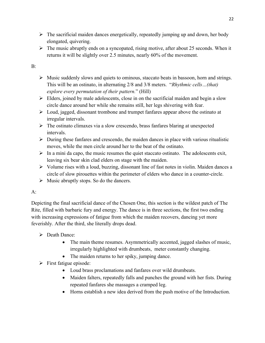- $\triangleright$  The sacrificial maiden dances energetically, repeatedly jumping up and down, her body elongated, quivering.
- $\triangleright$  The music abruptly ends on a syncopated, rising motive, after about 25 seconds. When it returns it will be slightly over 2.5 minutes, nearly 60% of the movement.

## B:

- $\triangleright$  Music suddenly slows and quiets to ominous, staccato beats in bassoon, horn and strings. This will be an ostinato, in alternating 2/8 and 3/8 meters. "*Rhythmic cells…(that) explore every permutation of their pattern.*" (Hill)
- $\triangleright$  Elders, joined by male adolescents, close in on the sacrificial maiden and begin a slow circle dance around her while she remains still, her legs shivering with fear.
- $\triangleright$  Loud, jagged, dissonant trombone and trumpet fanfares appear above the ostinato at irregular intervals.
- $\triangleright$  The ostinato climaxes via a slow crescendo, brass fanfares blaring at unexpected intervals.
- $\triangleright$  During these fanfares and crescendo, the maiden dances in place with various ritualistic moves, while the men circle around her to the beat of the ostinato.
- $\triangleright$  In a mini da capo, the music resumes the quiet staccato ostinato. The adolescents exit, leaving six bear skin clad elders on stage with the maiden.
- $\triangleright$  Volume rises with a loud, buzzing, dissonant line of fast notes in violin. Maiden dances a circle of slow pirouettes within the perimeter of elders who dance in a counter-circle.
- $\triangleright$  Music abruptly stops. So do the dancers.

# $A$ :

Depicting the final sacrificial dance of the Chosen One, this section is the wildest patch of The Rite, filled with barbaric fury and energy. The dance is in three sections, the first two ending with increasing expressions of fatigue from which the maiden recovers, dancing yet more feverishly. After the third, she literally drops dead.

- $\triangleright$  Death Dance:
	- The main theme resumes. Asymmetrically accented, jagged slashes of music, irregularly highlighted with drumbeats, meter constantly changing.
	- The maiden returns to her spiky, jumping dance.
- $\triangleright$  First fatigue episode:
	- Loud brass proclamations and fanfares over wild drumbeats.
	- Maiden falters, repeatedly falls and punches the ground with her fists. During repeated fanfares she massages a cramped leg.
	- Horns establish a new idea derived from the push motive of the Introduction.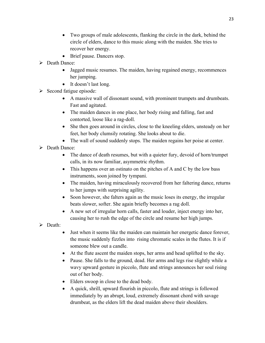- Two groups of male adolescents, flanking the circle in the dark, behind the circle of elders, dance to this music along with the maiden. She tries to recover her energy.
- Brief pause. Dancers stop.
- $\triangleright$  Death Dance:
	- Jagged music resumes. The maiden, having regained energy, recommences her jumping.
	- It doesn't last long.
- $\triangleright$  Second fatigue episode:
	- A massive wall of dissonant sound, with prominent trumpets and drumbeats. Fast and agitated.
	- The maiden dances in one place, her body rising and falling, fast and contorted, loose like a rag-doll.
	- She then goes around in circles, close to the kneeling elders, unsteady on her feet, her body clumsily rotating. She looks about to die.
	- The wall of sound suddenly stops. The maiden regains her poise at center.
- $\triangleright$  Death Dance:
	- The dance of death resumes, but with a quieter fury, devoid of horn/trumpet calls, in its now familiar, asymmetric rhythm.
	- This happens over an ostinato on the pitches of A and C by the low bass instruments, soon joined by tympani.
	- The maiden, having miraculously recovered from her faltering dance, returns to her jumps with surprising agility.
	- Soon however, she falters again as the music loses its energy, the irregular beats slower, softer. She again briefly becomes a rag doll.
	- A new set of irregular horn calls, faster and louder, inject energy into her, causing her to rush the edge of the circle and resume her high jumps.
- $\triangleright$  Death:
	- Just when it seems like the maiden can maintain her energetic dance forever, the music suddenly fizzles into rising chromatic scales in the flutes. It is if someone blew out a candle.
	- At the flute ascent the maiden stops, her arms and head uplifted to the sky.
	- Pause. She falls to the ground, dead. Her arms and legs rise slightly while a wavy upward gesture in piccolo, flute and strings announces her soul rising out of her body.
	- Elders swoop in close to the dead body.
	- A quick, shrill, upward flourish in piccolo, flute and strings is followed immediately by an abrupt, loud, extremely dissonant chord with savage drumbeat, as the elders lift the dead maiden above their shoulders.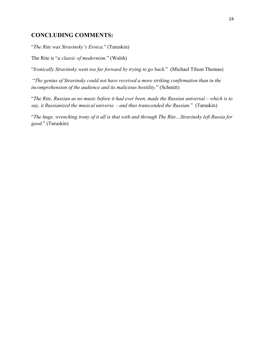# **CONCLUDING COMMENTS:**

"*The Rite was Stravinsky's Eroica.*" (Taruskin)

The Rite is "*a classic of modernism.*" (Walsh)

"*Ironically Stravinsky went too far forward by trying to go back.*" (Michael Tilson Thomas)

"*The genius of Stravinsky could not have received a more striking confirmation than in the incomprehension of the audience and its malicious hostility.*" (Schmitt)

"*The Rite, Russian as no music before it had ever been, made the Russian universal – which is to say, it Russianized the musical universe - and thus transcended the Russian.*" (Taruskin)

"*The huge, wrenching irony of it all is that with and through The Rite…Stravinsky left Russia for good.*" (Taruskin)